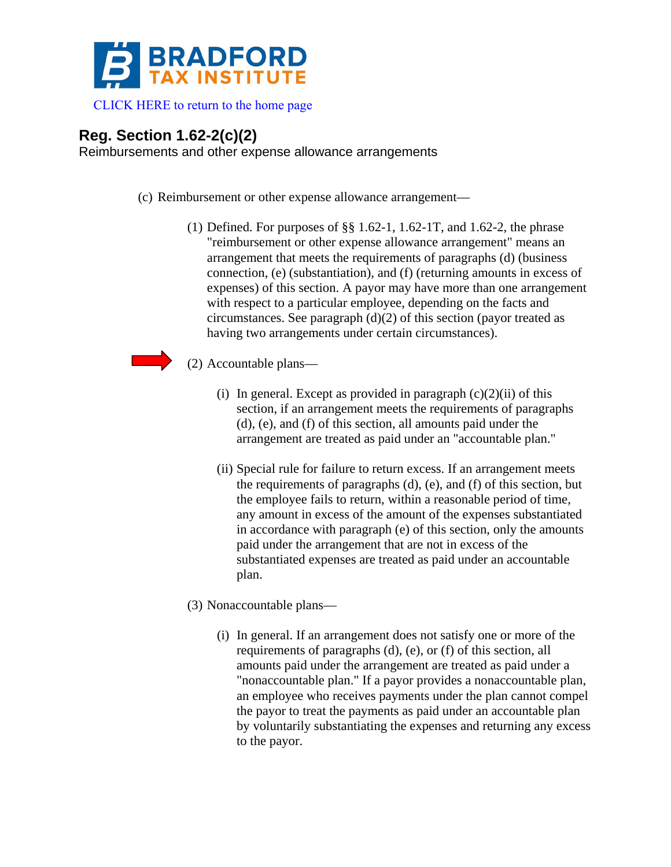

[CLICK HERE to return to the home page](http://www.bradfordtaxinstitute.com/) 

## **Reg. Section 1.62-2(c)(2)**

Reimbursements and other expense allowance arrangements

- (c) Reimbursement or other expense allowance arrangement—
	- (1) Defined. For purposes of  $\S$  1.62-1, 1.62-1T, and 1.62-2, the phrase "reimbursement or other expense allowance arrangement" means an arrangement that meets the requirements of paragraphs (d) (business connection, (e) (substantiation), and (f) (returning amounts in excess of expenses) of this section. A payor may have more than one arrangement with respect to a particular employee, depending on the facts and circumstances. See paragraph (d)(2) of this section (payor treated as having two arrangements under certain circumstances).
	- (2) Accountable plans—
		- (i) In general. Except as provided in paragraph  $(c)(2)(ii)$  of this section, if an arrangement meets the requirements of paragraphs (d), (e), and (f) of this section, all amounts paid under the arrangement are treated as paid under an "accountable plan."
		- (ii) Special rule for failure to return excess. If an arrangement meets the requirements of paragraphs (d), (e), and (f) of this section, but the employee fails to return, within a reasonable period of time, any amount in excess of the amount of the expenses substantiated in accordance with paragraph (e) of this section, only the amounts paid under the arrangement that are not in excess of the substantiated expenses are treated as paid under an accountable plan.
		- (3) Nonaccountable plans—
			- (i) In general. If an arrangement does not satisfy one or more of the requirements of paragraphs (d), (e), or (f) of this section, all amounts paid under the arrangement are treated as paid under a "nonaccountable plan." If a payor provides a nonaccountable plan, an employee who receives payments under the plan cannot compel the payor to treat the payments as paid under an accountable plan by voluntarily substantiating the expenses and returning any excess to the payor.